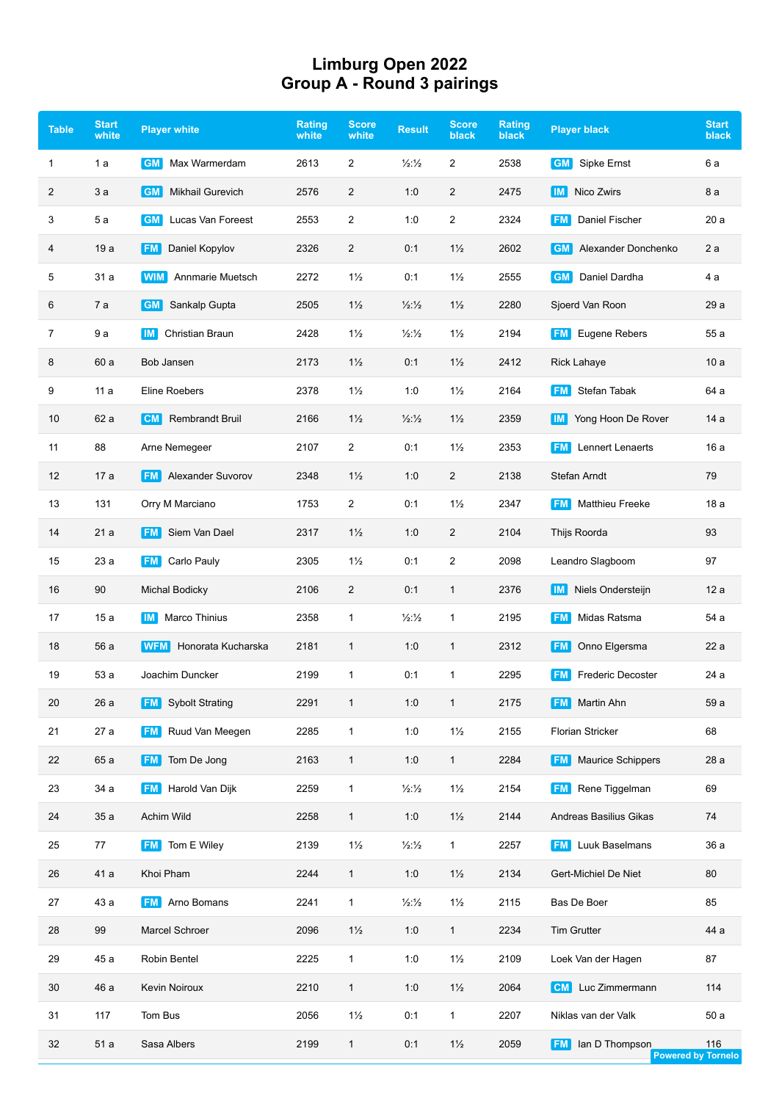## **Limburg Open 2022 Group A - Round 3 pairings**

| <b>Table</b>   | <b>Start</b><br>white | <b>Player white</b>                  | <b>Rating</b><br>white | <b>Score</b><br>white | <b>Result</b>            | <b>Score</b><br>black | <b>Rating</b><br><b>black</b> | <b>Player black</b>                   | <b>Start</b><br>black     |
|----------------|-----------------------|--------------------------------------|------------------------|-----------------------|--------------------------|-----------------------|-------------------------------|---------------------------------------|---------------------------|
| 1              | 1 a                   | <b>GM</b><br>Max Warmerdam           | 2613                   | $\overline{2}$        | $\frac{1}{2}\frac{1}{2}$ | 2                     | 2538                          | <b>GM</b><br>Sipke Ernst              | 6 a                       |
| 2              | 3a                    | <b>Mikhail Gurevich</b><br><b>GM</b> | 2576                   | $\overline{2}$        | 1:0                      | $\overline{c}$        | 2475                          | Nico Zwirs<br>  IM                    | 8 a                       |
| 3              | 5а                    | Lucas Van Foreest<br><b>GM</b>       | 2553                   | $\overline{2}$        | 1:0                      | $\overline{c}$        | 2324                          | Daniel Fischer<br><b>FM</b>           | 20a                       |
| 4              | 19 a                  | Daniel Kopylov<br><b>FM</b>          | 2326                   | $\overline{2}$        | 0:1                      | $1\frac{1}{2}$        | 2602                          | Alexander Donchenko<br><b>GM</b>      | 2a                        |
| 5              | 31 a                  | Annmarie Muetsch<br><b>WIM</b>       | 2272                   | $1\frac{1}{2}$        | 0:1                      | $1\frac{1}{2}$        | 2555                          | Daniel Dardha<br><b>GM</b>            | 4 a                       |
| 6              | 7 a                   | <b>GM</b><br>Sankalp Gupta           | 2505                   | $1\frac{1}{2}$        | 1/2:1/2                  | $1\frac{1}{2}$        | 2280                          | Sjoerd Van Roon                       | 29 a                      |
| $\overline{7}$ | 9а                    | Christian Braun<br><b>IM</b>         | 2428                   | $1\frac{1}{2}$        | $\frac{1}{2}\frac{1}{2}$ | $1\frac{1}{2}$        | 2194                          | Eugene Rebers<br><b>FM</b>            | 55 a                      |
| 8              | 60 a                  | Bob Jansen                           | 2173                   | $1\frac{1}{2}$        | 0:1                      | $1\frac{1}{2}$        | 2412                          | <b>Rick Lahaye</b>                    | 10a                       |
| 9              | 11a                   | Eline Roebers                        | 2378                   | $1\frac{1}{2}$        | 1:0                      | $1\frac{1}{2}$        | 2164                          | Stefan Tabak<br><b>FM</b>             | 64 a                      |
| 10             | 62 a                  | <b>Rembrandt Bruil</b><br><b>CM</b>  | 2166                   | $1\frac{1}{2}$        | $\frac{1}{2}\frac{1}{2}$ | $1\frac{1}{2}$        | 2359                          | Yong Hoon De Rover<br><b>IM</b>       | 14 a                      |
| 11             | 88                    | Arne Nemegeer                        | 2107                   | $\overline{2}$        | 0:1                      | $1\frac{1}{2}$        | 2353                          | <b>Lennert Lenaerts</b><br><b>FM</b>  | 16 a                      |
| 12             | 17 a                  | <b>Alexander Suvorov</b><br> FM      | 2348                   | $1\frac{1}{2}$        | 1:0                      | $\overline{c}$        | 2138                          | Stefan Arndt                          | 79                        |
| 13             | 131                   | Orry M Marciano                      | 1753                   | $\overline{2}$        | 0:1                      | $1\frac{1}{2}$        | 2347                          | <b>Matthieu Freeke</b><br><b>FM</b>   | 18a                       |
| 14             | 21a                   | Siem Van Dael<br><b>FM</b>           | 2317                   | $1\frac{1}{2}$        | 1:0                      | 2                     | 2104                          | Thijs Roorda                          | 93                        |
| 15             | 23 a                  | Carlo Pauly<br><b>FM</b>             | 2305                   | $1\frac{1}{2}$        | 0:1                      | 2                     | 2098                          | Leandro Slagboom                      | 97                        |
| 16             | 90                    | <b>Michal Bodicky</b>                | 2106                   | $\overline{2}$        | 0:1                      | $\mathbf{1}$          | 2376                          | Niels Ondersteijn<br>IM I             | 12 a                      |
| 17             | 15a                   | <b>Marco Thinius</b><br>IM.          | 2358                   | $\mathbf{1}$          | $\frac{1}{2}\frac{1}{2}$ | $\mathbf{1}$          | 2195                          | Midas Ratsma<br><b>FM</b>             | 54 a                      |
| 18             | 56 a                  | Honorata Kucharska<br><b>WFM</b>     | 2181                   | $\mathbf{1}$          | 1:0                      | $\mathbf{1}$          | 2312                          | Onno Elgersma<br> FM                  | 22 a                      |
| 19             | 53 a                  | Joachim Duncker                      | 2199                   | $\mathbf{1}$          | 0:1                      | $\mathbf{1}$          | 2295                          | <b>Frederic Decoster</b><br><b>FM</b> | 24 a                      |
| $20\,$         | 26 a                  | <b>Sybolt Strating</b><br><b>FM</b>  | 2291                   | $\mathbf{1}$          | 1:0                      | $\mathbf{1}$          | 2175                          | <b>FM</b> Martin Ahn                  | 59 a                      |
| 21             | 27 a                  | Ruud Van Meegen<br><b>FM</b>         | 2285                   | $\mathbf{1}$          | 1:0                      | $1\frac{1}{2}$        | 2155                          | <b>Florian Stricker</b>               | 68                        |
| 22             | 65 a                  | Tom De Jong<br>FM                    | 2163                   | $\mathbf{1}$          | 1:0                      | $\mathbf{1}$          | 2284                          | <b>Maurice Schippers</b><br> FM       | 28 a                      |
| 23             | 34 a                  | Harold Van Dijk<br><b>FM</b>         | 2259                   | $\mathbf{1}$          | $\frac{1}{2}\frac{1}{2}$ | $1\frac{1}{2}$        | 2154                          | <b>FM</b> Rene Tiggelman              | 69                        |
| 24             | 35 a                  | Achim Wild                           | 2258                   | $\mathbf{1}$          | 1:0                      | $1\frac{1}{2}$        | 2144                          | Andreas Basilius Gikas                | 74                        |
| 25             | 77                    | Tom E Wiley<br><b>FM</b>             | 2139                   | $1\frac{1}{2}$        | $\frac{1}{2}\frac{1}{2}$ | $\mathbf{1}$          | 2257                          | Luuk Baselmans<br><b>FM</b>           | 36 a                      |
| 26             | 41 a                  | Khoi Pham                            | 2244                   | $\mathbf{1}$          | 1:0                      | $1\frac{1}{2}$        | 2134                          | Gert-Michiel De Niet                  | 80                        |
| 27             | 43 a                  | Arno Bomans<br><b>FM</b>             | 2241                   | $\mathbf{1}$          | $\frac{1}{2}\frac{1}{2}$ | $1\frac{1}{2}$        | 2115                          | Bas De Boer                           | 85                        |
| 28             | 99                    | Marcel Schroer                       | 2096                   | $1\frac{1}{2}$        | 1:0                      | $\mathbf{1}$          | 2234                          | <b>Tim Grutter</b>                    | 44 a                      |
| 29             | 45 a                  | Robin Bentel                         | 2225                   | $\mathbf{1}$          | 1:0                      | $1\frac{1}{2}$        | 2109                          | Loek Van der Hagen                    | 87                        |
| 30             | 46 a                  | <b>Kevin Noiroux</b>                 | 2210                   | $\mathbf{1}$          | 1:0                      | $1\frac{1}{2}$        | 2064                          | Luc Zimmermann<br>∣CM I               | 114                       |
| 31             | 117                   | Tom Bus                              | 2056                   | $1\frac{1}{2}$        | 0:1                      | $\mathbf{1}$          | 2207                          | Niklas van der Valk                   | 50a                       |
| 32             | 51 a                  | Sasa Albers                          | 2199                   | $\mathbf{1}$          | 0:1                      | $1\frac{1}{2}$        | 2059                          | lan D Thompson<br><b>FM</b>           | 116<br>Powered by Tornelo |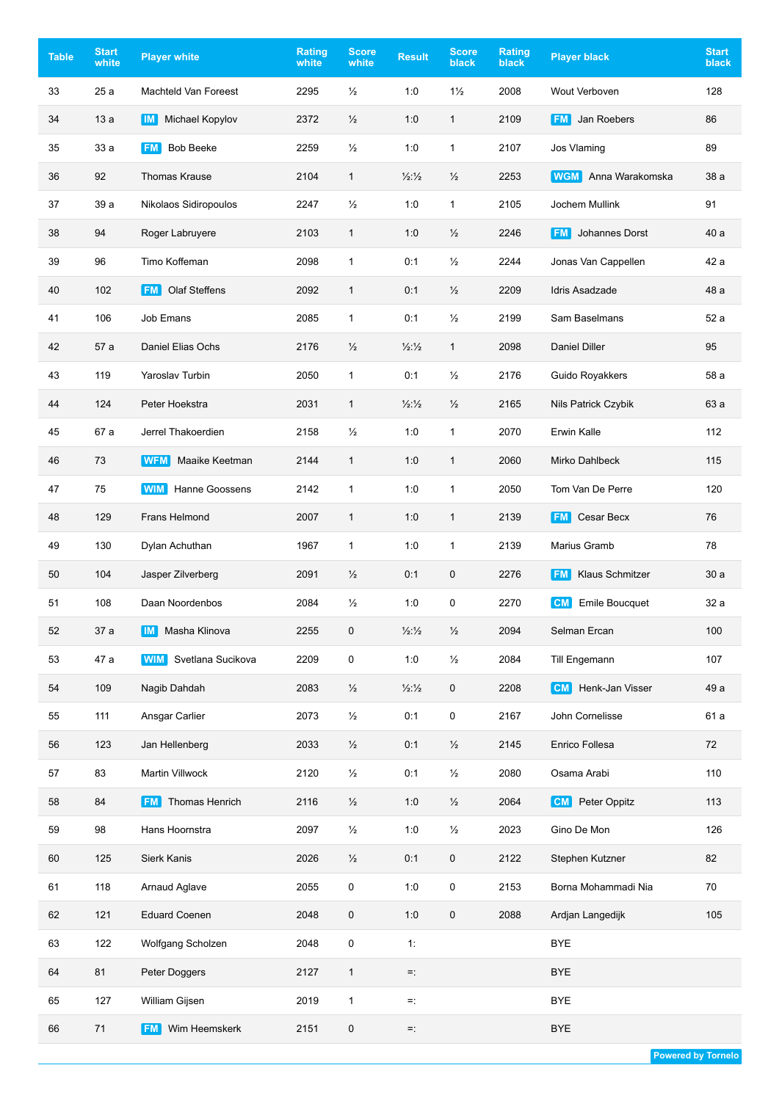| <b>Table</b> | <b>Start</b><br>white | <b>Player white</b>               | <b>Rating</b><br>white | <b>Score</b><br>white | <b>Result</b>            | <b>Score</b><br>black | <b>Rating</b><br><b>black</b> | <b>Player black</b>                 | <b>Start</b><br>black |
|--------------|-----------------------|-----------------------------------|------------------------|-----------------------|--------------------------|-----------------------|-------------------------------|-------------------------------------|-----------------------|
| 33           | 25a                   | Machteld Van Foreest              | 2295                   | $\frac{1}{2}$         | 1:0                      | $1\frac{1}{2}$        | 2008                          | Wout Verboven                       | 128                   |
| 34           | 13a                   | IM  <br>Michael Kopylov           | 2372                   | $\frac{1}{2}$         | 1:0                      | $\mathbf{1}$          | 2109                          | Jan Roebers<br><b>FM</b>            | 86                    |
| 35           | 33 a                  | <b>Bob Beeke</b><br><b>FM</b>     | 2259                   | $\frac{1}{2}$         | 1:0                      | 1                     | 2107                          | Jos Vlaming                         | 89                    |
| 36           | 92                    | <b>Thomas Krause</b>              | 2104                   | $\mathbf{1}$          | 1/2:1/2                  | $\frac{1}{2}$         | 2253                          | Anna Warakomska<br><b>WGM</b>       | 38 a                  |
| 37           | 39 a                  | Nikolaos Sidiropoulos             | 2247                   | $\frac{1}{2}$         | 1:0                      | $\mathbf{1}$          | 2105                          | Jochem Mullink                      | 91                    |
| 38           | 94                    | Roger Labruyere                   | 2103                   | $\mathbf{1}$          | 1:0                      | $\frac{1}{2}$         | 2246                          | Johannes Dorst<br><b>FM</b>         | 40 a                  |
| 39           | 96                    | Timo Koffeman                     | 2098                   | $\mathbf{1}$          | 0:1                      | $\frac{1}{2}$         | 2244                          | Jonas Van Cappellen                 | 42 a                  |
| 40           | 102                   | <b>Olaf Steffens</b><br><b>FM</b> | 2092                   | $\mathbf{1}$          | 0:1                      | $\frac{1}{2}$         | 2209                          | Idris Asadzade                      | 48 a                  |
| 41           | 106                   | Job Emans                         | 2085                   | $\mathbf{1}$          | 0:1                      | $\frac{1}{2}$         | 2199                          | Sam Baselmans                       | 52 a                  |
| 42           | 57 a                  | Daniel Elias Ochs                 | 2176                   | $\frac{1}{2}$         | $\frac{1}{2}\frac{1}{2}$ | $\mathbf{1}$          | 2098                          | <b>Daniel Diller</b>                | 95                    |
| 43           | 119                   | Yaroslav Turbin                   | 2050                   | $\mathbf{1}$          | 0:1                      | $\frac{1}{2}$         | 2176                          | Guido Royakkers                     | 58 a                  |
| 44           | 124                   | Peter Hoekstra                    | 2031                   | $\mathbf{1}$          | 1/2:1/2                  | $\frac{1}{2}$         | 2165                          | Nils Patrick Czybik                 | 63 a                  |
| 45           | 67 a                  | Jerrel Thakoerdien                | 2158                   | $\frac{1}{2}$         | 1:0                      | $\mathbf{1}$          | 2070                          | Erwin Kalle                         | 112                   |
| 46           | 73                    | WFM<br>Maaike Keetman             | 2144                   | $\mathbf{1}$          | 1:0                      | 1                     | 2060                          | Mirko Dahlbeck                      | 115                   |
| 47           | 75                    | Hanne Goossens<br><b>WIM</b>      | 2142                   | $\mathbf{1}$          | 1:0                      | 1                     | 2050                          | Tom Van De Perre                    | 120                   |
| 48           | 129                   | Frans Helmond                     | 2007                   | $\mathbf{1}$          | 1:0                      | $\mathbf{1}$          | 2139                          | Cesar Becx<br><b>FM</b>             | 76                    |
| 49           | 130                   | Dylan Achuthan                    | 1967                   | $\mathbf{1}$          | 1:0                      | $\mathbf{1}$          | 2139                          | Marius Gramb                        | 78                    |
| 50           | 104                   | Jasper Zilverberg                 | 2091                   | $\frac{1}{2}$         | 0:1                      | 0                     | 2276                          | <b>Klaus Schmitzer</b><br><b>FM</b> | 30a                   |
| 51           | 108                   | Daan Noordenbos                   | 2084                   | $\frac{1}{2}$         | 1:0                      | 0                     | 2270                          | <b>Emile Boucquet</b><br><b>CM</b>  | 32 a                  |
| 52           | 37 a                  | Masha Klinova<br>  IM             | 2255                   | 0                     | $\frac{1}{2}\frac{1}{2}$ | $\frac{1}{2}$         | 2094                          | Selman Ercan                        | 100                   |
| 53           | 47 a                  | <b>WIM</b> Svetlana Sucikova      | 2209                   | 0                     | 1:0                      | $\frac{1}{2}$         | 2084                          | Till Engemann                       | 107                   |
| 54           | 109                   | Nagib Dahdah                      | 2083                   | $\frac{1}{2}$         | 1/2:1/2                  | 0                     | 2208                          | Henk-Jan Visser<br><b>CM</b>        | 49 a                  |
| 55           | 111                   | Ansgar Carlier                    | 2073                   | $\frac{1}{2}$         | 0:1                      | 0                     | 2167                          | John Cornelisse                     | 61 a                  |
| 56           | 123                   | Jan Hellenberg                    | 2033                   | $\frac{1}{2}$         | 0:1                      | $\frac{1}{2}$         | 2145                          | Enrico Follesa                      | 72                    |
| 57           | 83                    | Martin Villwock                   | 2120                   | $\frac{1}{2}$         | 0:1                      | $\frac{1}{2}$         | 2080                          | Osama Arabi                         | 110                   |
| 58           | 84                    | <b>FM</b> Thomas Henrich          | 2116                   | $\frac{1}{2}$         | 1:0                      | $\frac{1}{2}$         | 2064                          | Peter Oppitz<br><b>CM</b>           | 113                   |
| 59           | 98                    | Hans Hoornstra                    | 2097                   | $\frac{1}{2}$         | 1:0                      | $\frac{1}{2}$         | 2023                          | Gino De Mon                         | 126                   |
| 60           | 125                   | Sierk Kanis                       | 2026                   | $\frac{1}{2}$         | 0:1                      | 0                     | 2122                          | Stephen Kutzner                     | 82                    |
| 61           | 118                   | Arnaud Aglave                     | 2055                   | 0                     | 1:0                      | 0                     | 2153                          | Borna Mohammadi Nia                 | 70                    |
| 62           | 121                   | <b>Eduard Coenen</b>              | 2048                   | 0                     | 1:0                      | 0                     | 2088                          | Ardjan Langedijk                    | 105                   |
| 63           | 122                   | Wolfgang Scholzen                 | 2048                   | 0                     | 1:                       |                       |                               | <b>BYE</b>                          |                       |
| 64           | 81                    | Peter Doggers                     | 2127                   | $\mathbf{1}$          | Ξ.                       |                       |                               | <b>BYE</b>                          |                       |
| 65           | 127                   | William Gijsen                    | 2019                   | $\mathbf{1}$          | Ξ.                       |                       |                               | <b>BYE</b>                          |                       |
| 66           | 71                    | <b>FM</b> Wim Heemskerk           | 2151                   | 0                     | Ξ.                       |                       |                               | <b>BYE</b>                          |                       |